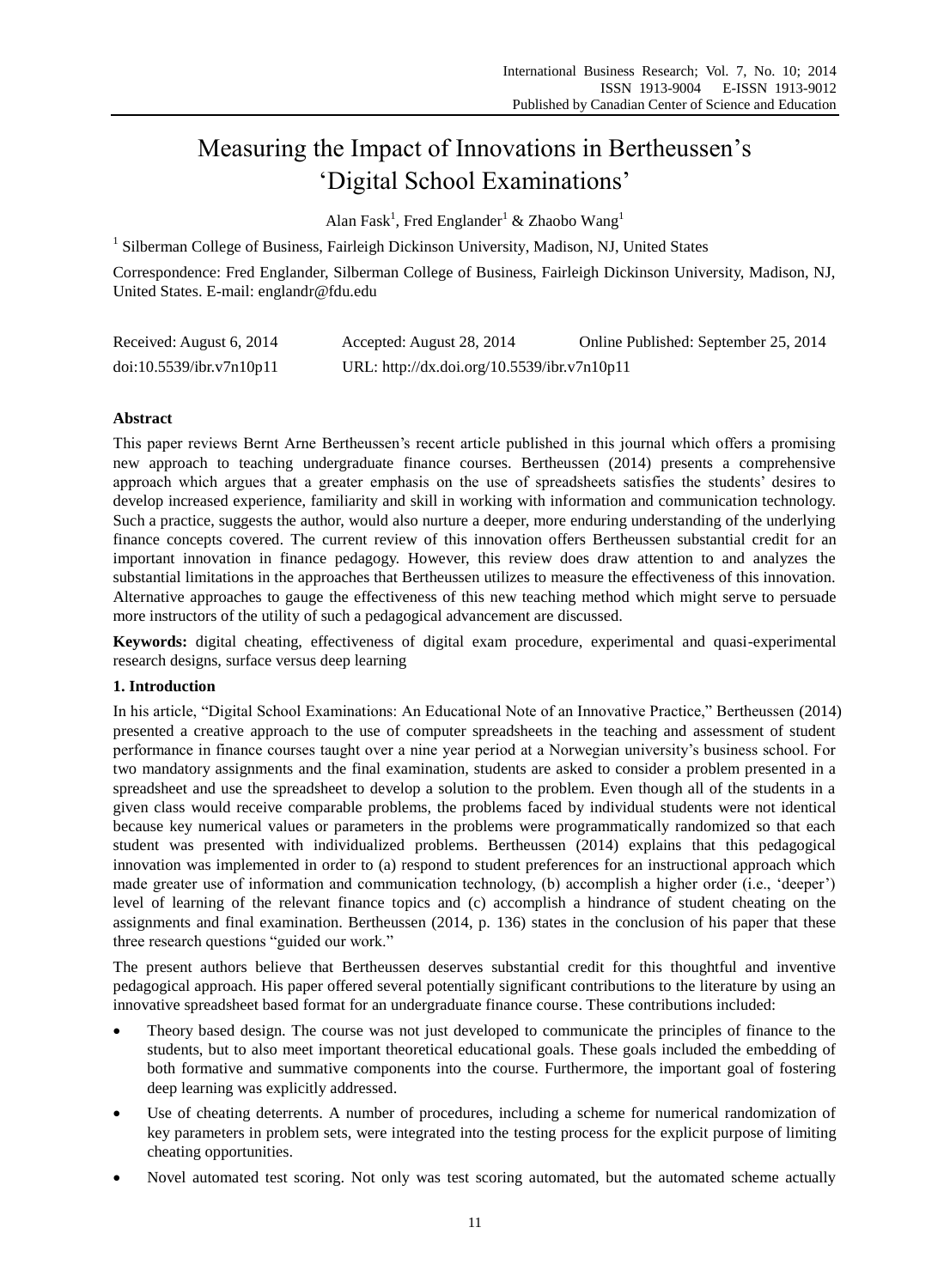# Measuring the Impact of Innovations in Bertheussen's ‗Digital School Examinations'

Alan Fask<sup>1</sup>, Fred Englander<sup>1</sup> & Zhaobo Wang<sup>1</sup>

<sup>1</sup> Silberman College of Business, Fairleigh Dickinson University, Madison, NJ, United States

Correspondence: Fred Englander, Silberman College of Business, Fairleigh Dickinson University, Madison, NJ, United States. E-mail: englandr@fdu.edu

| Received: August 6, 2014 | Accepted: August 28, 2014                   | Online Published: September 25, 2014 |
|--------------------------|---------------------------------------------|--------------------------------------|
| doi:10.5539/ibr.v7n10p11 | URL: http://dx.doi.org/10.5539/ibr.v7n10p11 |                                      |

# **Abstract**

This paper reviews Bernt Arne Bertheussen's recent article published in this journal which offers a promising new approach to teaching undergraduate finance courses. Bertheussen (2014) presents a comprehensive approach which argues that a greater emphasis on the use of spreadsheets satisfies the students' desires to develop increased experience, familiarity and skill in working with information and communication technology. Such a practice, suggests the author, would also nurture a deeper, more enduring understanding of the underlying finance concepts covered. The current review of this innovation offers Bertheussen substantial credit for an important innovation in finance pedagogy. However, this review does draw attention to and analyzes the substantial limitations in the approaches that Bertheussen utilizes to measure the effectiveness of this innovation. Alternative approaches to gauge the effectiveness of this new teaching method which might serve to persuade more instructors of the utility of such a pedagogical advancement are discussed.

**Keywords:** digital cheating, effectiveness of digital exam procedure, experimental and quasi-experimental research designs, surface versus deep learning

# **1. Introduction**

In his article, "Digital School Examinations: An Educational Note of an Innovative Practice," Bertheussen (2014) presented a creative approach to the use of computer spreadsheets in the teaching and assessment of student performance in finance courses taught over a nine year period at a Norwegian university's business school. For two mandatory assignments and the final examination, students are asked to consider a problem presented in a spreadsheet and use the spreadsheet to develop a solution to the problem. Even though all of the students in a given class would receive comparable problems, the problems faced by individual students were not identical because key numerical values or parameters in the problems were programmatically randomized so that each student was presented with individualized problems. Bertheussen (2014) explains that this pedagogical innovation was implemented in order to (a) respond to student preferences for an instructional approach which made greater use of information and communication technology, (b) accomplish a higher order (i.e., ‗deeper') level of learning of the relevant finance topics and (c) accomplish a hindrance of student cheating on the assignments and final examination. Bertheussen (2014, p. 136) states in the conclusion of his paper that these three research questions "guided our work."

The present authors believe that Bertheussen deserves substantial credit for this thoughtful and inventive pedagogical approach. His paper offered several potentially significant contributions to the literature by using an innovative spreadsheet based format for an undergraduate finance course. These contributions included:

- Theory based design. The course was not just developed to communicate the principles of finance to the students, but to also meet important theoretical educational goals. These goals included the embedding of both formative and summative components into the course. Furthermore, the important goal of fostering deep learning was explicitly addressed.
- Use of cheating deterrents. A number of procedures, including a scheme for numerical randomization of key parameters in problem sets, were integrated into the testing process for the explicit purpose of limiting cheating opportunities.
- Novel automated test scoring. Not only was test scoring automated, but the automated scheme actually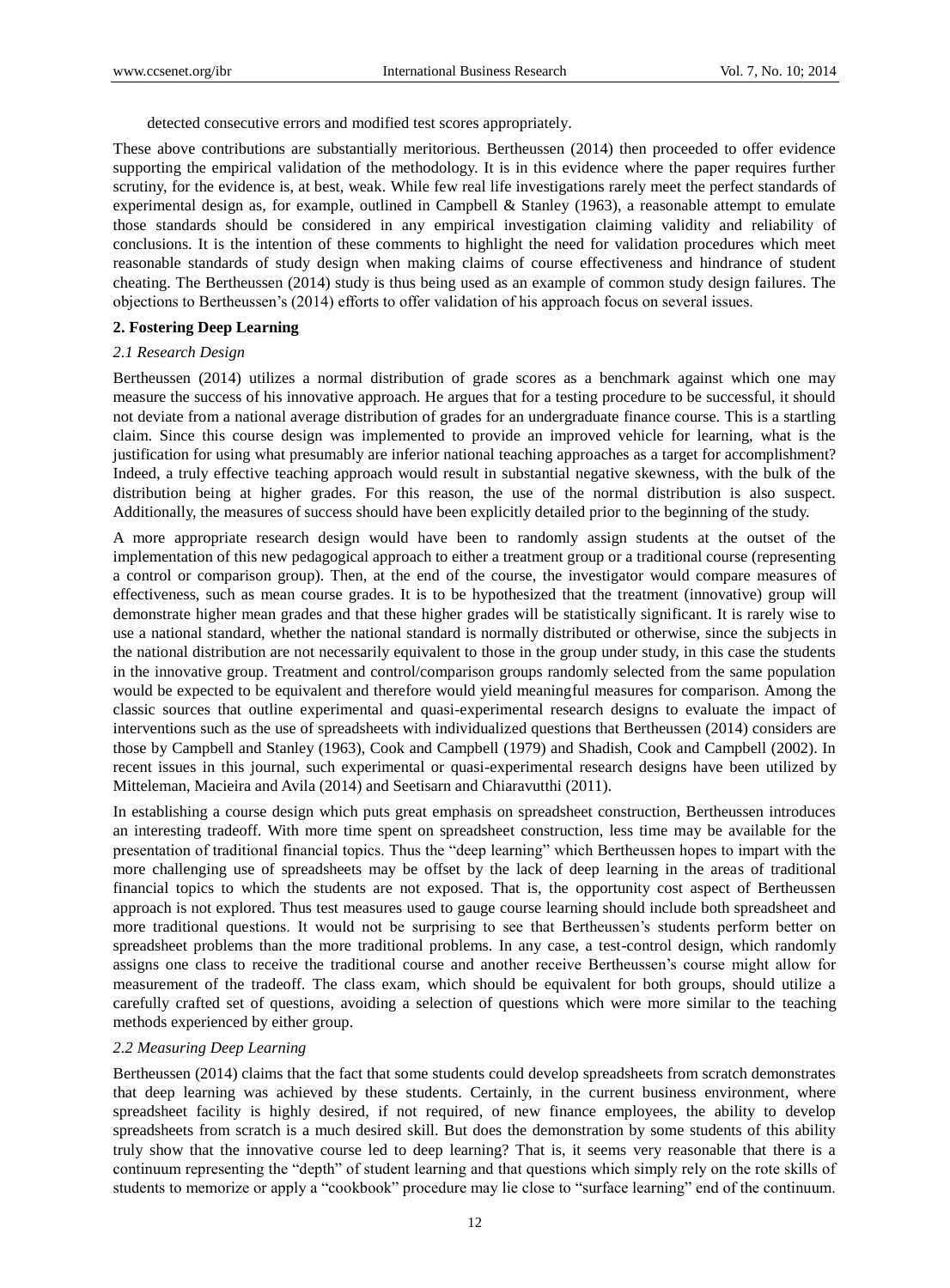detected consecutive errors and modified test scores appropriately.

These above contributions are substantially meritorious. Bertheussen (2014) then proceeded to offer evidence supporting the empirical validation of the methodology. It is in this evidence where the paper requires further scrutiny, for the evidence is, at best, weak. While few real life investigations rarely meet the perfect standards of experimental design as, for example, outlined in Campbell & Stanley (1963), a reasonable attempt to emulate those standards should be considered in any empirical investigation claiming validity and reliability of conclusions. It is the intention of these comments to highlight the need for validation procedures which meet reasonable standards of study design when making claims of course effectiveness and hindrance of student cheating. The Bertheussen (2014) study is thus being used as an example of common study design failures. The objections to Bertheussen's (2014) efforts to offer validation of his approach focus on several issues.

# **2. Fostering Deep Learning**

#### *2.1 Research Design*

Bertheussen (2014) utilizes a normal distribution of grade scores as a benchmark against which one may measure the success of his innovative approach. He argues that for a testing procedure to be successful, it should not deviate from a national average distribution of grades for an undergraduate finance course. This is a startling claim. Since this course design was implemented to provide an improved vehicle for learning, what is the justification for using what presumably are inferior national teaching approaches as a target for accomplishment? Indeed, a truly effective teaching approach would result in substantial negative skewness, with the bulk of the distribution being at higher grades. For this reason, the use of the normal distribution is also suspect. Additionally, the measures of success should have been explicitly detailed prior to the beginning of the study.

A more appropriate research design would have been to randomly assign students at the outset of the implementation of this new pedagogical approach to either a treatment group or a traditional course (representing a control or comparison group). Then, at the end of the course, the investigator would compare measures of effectiveness, such as mean course grades. It is to be hypothesized that the treatment (innovative) group will demonstrate higher mean grades and that these higher grades will be statistically significant. It is rarely wise to use a national standard, whether the national standard is normally distributed or otherwise, since the subjects in the national distribution are not necessarily equivalent to those in the group under study, in this case the students in the innovative group. Treatment and control/comparison groups randomly selected from the same population would be expected to be equivalent and therefore would yield meaningful measures for comparison. Among the classic sources that outline experimental and quasi-experimental research designs to evaluate the impact of interventions such as the use of spreadsheets with individualized questions that Bertheussen (2014) considers are those by Campbell and Stanley (1963), Cook and Campbell (1979) and Shadish, Cook and Campbell (2002). In recent issues in this journal, such experimental or quasi-experimental research designs have been utilized by Mitteleman, Macieira and Avila (2014) and Seetisarn and Chiaravutthi (2011).

In establishing a course design which puts great emphasis on spreadsheet construction, Bertheussen introduces an interesting tradeoff. With more time spent on spreadsheet construction, less time may be available for the presentation of traditional financial topics. Thus the "deep learning" which Bertheussen hopes to impart with the more challenging use of spreadsheets may be offset by the lack of deep learning in the areas of traditional financial topics to which the students are not exposed. That is, the opportunity cost aspect of Bertheussen approach is not explored. Thus test measures used to gauge course learning should include both spreadsheet and more traditional questions. It would not be surprising to see that Bertheussen's students perform better on spreadsheet problems than the more traditional problems. In any case, a test-control design, which randomly assigns one class to receive the traditional course and another receive Bertheussen's course might allow for measurement of the tradeoff. The class exam, which should be equivalent for both groups, should utilize a carefully crafted set of questions, avoiding a selection of questions which were more similar to the teaching methods experienced by either group.

# *2.2 Measuring Deep Learning*

Bertheussen (2014) claims that the fact that some students could develop spreadsheets from scratch demonstrates that deep learning was achieved by these students. Certainly, in the current business environment, where spreadsheet facility is highly desired, if not required, of new finance employees, the ability to develop spreadsheets from scratch is a much desired skill. But does the demonstration by some students of this ability truly show that the innovative course led to deep learning? That is, it seems very reasonable that there is a continuum representing the "depth" of student learning and that questions which simply rely on the rote skills of students to memorize or apply a "cookbook" procedure may lie close to "surface learning" end of the continuum.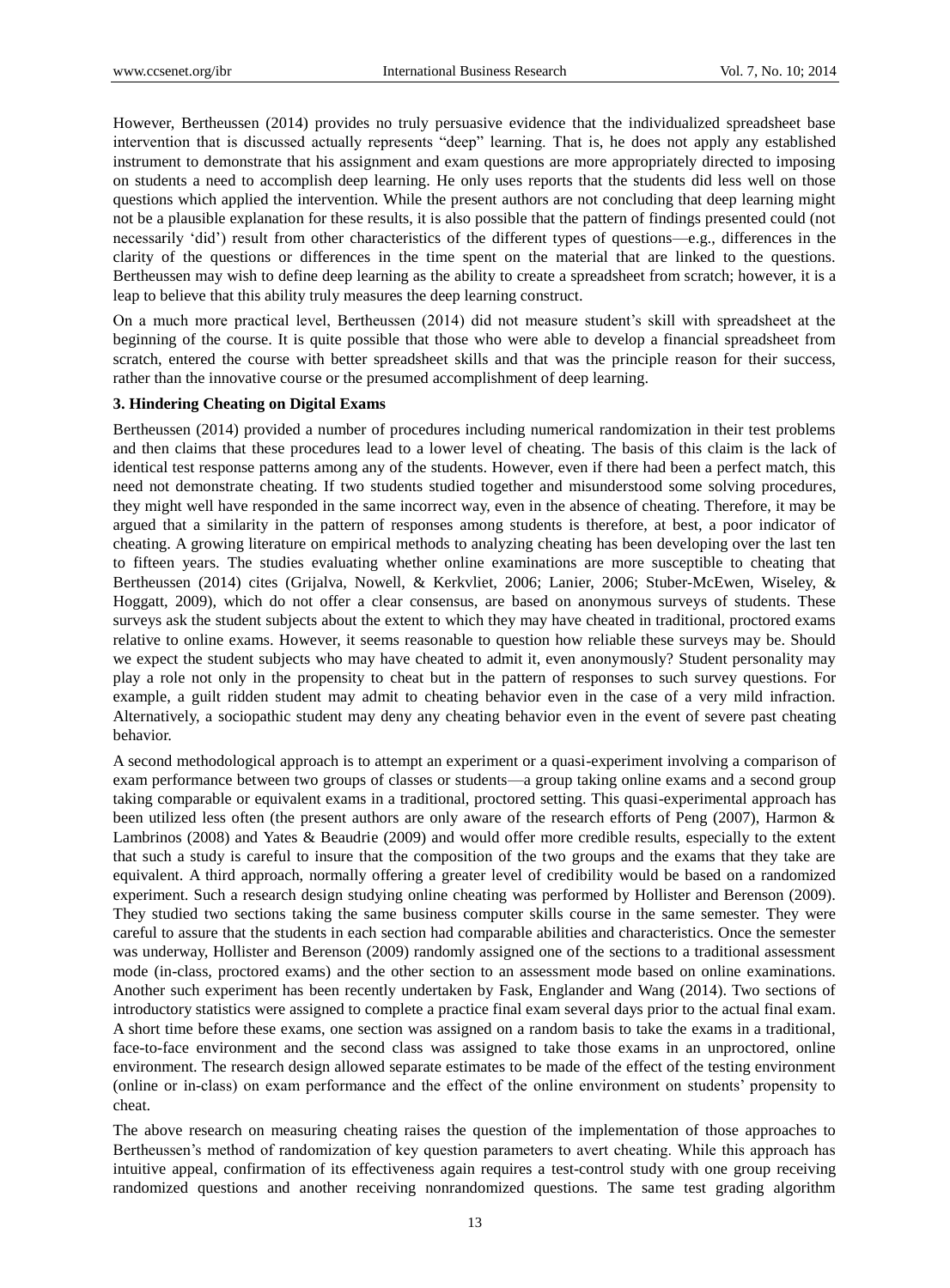However, Bertheussen (2014) provides no truly persuasive evidence that the individualized spreadsheet base intervention that is discussed actually represents "deep" learning. That is, he does not apply any established instrument to demonstrate that his assignment and exam questions are more appropriately directed to imposing on students a need to accomplish deep learning. He only uses reports that the students did less well on those questions which applied the intervention. While the present authors are not concluding that deep learning might not be a plausible explanation for these results, it is also possible that the pattern of findings presented could (not necessarily 'did') result from other characteristics of the different types of questions—e.g., differences in the clarity of the questions or differences in the time spent on the material that are linked to the questions. Bertheussen may wish to define deep learning as the ability to create a spreadsheet from scratch; however, it is a leap to believe that this ability truly measures the deep learning construct.

On a much more practical level, Bertheussen (2014) did not measure student's skill with spreadsheet at the beginning of the course. It is quite possible that those who were able to develop a financial spreadsheet from scratch, entered the course with better spreadsheet skills and that was the principle reason for their success, rather than the innovative course or the presumed accomplishment of deep learning.

#### **3. Hindering Cheating on Digital Exams**

Bertheussen (2014) provided a number of procedures including numerical randomization in their test problems and then claims that these procedures lead to a lower level of cheating. The basis of this claim is the lack of identical test response patterns among any of the students. However, even if there had been a perfect match, this need not demonstrate cheating. If two students studied together and misunderstood some solving procedures, they might well have responded in the same incorrect way, even in the absence of cheating. Therefore, it may be argued that a similarity in the pattern of responses among students is therefore, at best, a poor indicator of cheating. A growing literature on empirical methods to analyzing cheating has been developing over the last ten to fifteen years. The studies evaluating whether online examinations are more susceptible to cheating that Bertheussen (2014) cites (Grijalva, Nowell, & Kerkvliet, 2006; Lanier, 2006; Stuber-McEwen, Wiseley, & Hoggatt, 2009), which do not offer a clear consensus, are based on anonymous surveys of students. These surveys ask the student subjects about the extent to which they may have cheated in traditional, proctored exams relative to online exams. However, it seems reasonable to question how reliable these surveys may be. Should we expect the student subjects who may have cheated to admit it, even anonymously? Student personality may play a role not only in the propensity to cheat but in the pattern of responses to such survey questions. For example, a guilt ridden student may admit to cheating behavior even in the case of a very mild infraction. Alternatively, a sociopathic student may deny any cheating behavior even in the event of severe past cheating behavior.

A second methodological approach is to attempt an experiment or a quasi-experiment involving a comparison of exam performance between two groups of classes or students—a group taking online exams and a second group taking comparable or equivalent exams in a traditional, proctored setting. This quasi-experimental approach has been utilized less often (the present authors are only aware of the research efforts of Peng (2007), Harmon & Lambrinos (2008) and Yates & Beaudrie (2009) and would offer more credible results, especially to the extent that such a study is careful to insure that the composition of the two groups and the exams that they take are equivalent. A third approach, normally offering a greater level of credibility would be based on a randomized experiment. Such a research design studying online cheating was performed by Hollister and Berenson (2009). They studied two sections taking the same business computer skills course in the same semester. They were careful to assure that the students in each section had comparable abilities and characteristics. Once the semester was underway, Hollister and Berenson (2009) randomly assigned one of the sections to a traditional assessment mode (in-class, proctored exams) and the other section to an assessment mode based on online examinations. Another such experiment has been recently undertaken by Fask, Englander and Wang (2014). Two sections of introductory statistics were assigned to complete a practice final exam several days prior to the actual final exam. A short time before these exams, one section was assigned on a random basis to take the exams in a traditional, face-to-face environment and the second class was assigned to take those exams in an unproctored, online environment. The research design allowed separate estimates to be made of the effect of the testing environment (online or in-class) on exam performance and the effect of the online environment on students' propensity to cheat.

The above research on measuring cheating raises the question of the implementation of those approaches to Bertheussen's method of randomization of key question parameters to avert cheating. While this approach has intuitive appeal, confirmation of its effectiveness again requires a test-control study with one group receiving randomized questions and another receiving nonrandomized questions. The same test grading algorithm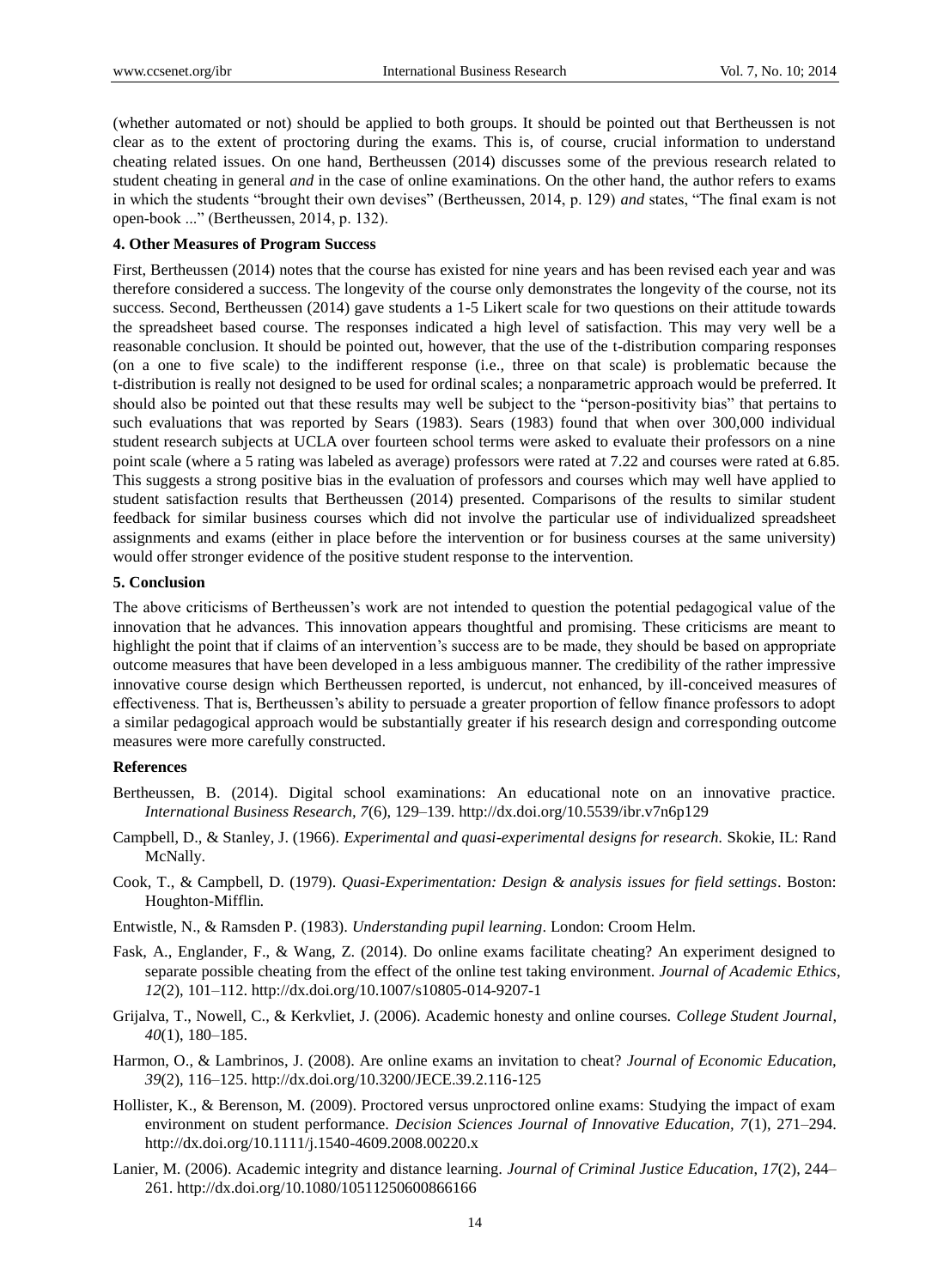(whether automated or not) should be applied to both groups. It should be pointed out that Bertheussen is not clear as to the extent of proctoring during the exams. This is, of course, crucial information to understand cheating related issues. On one hand, Bertheussen (2014) discusses some of the previous research related to student cheating in general *and* in the case of online examinations. On the other hand, the author refers to exams in which the students "brought their own devises" (Bertheussen, 2014, p. 129) *and* states, "The final exam is not open-book ..." (Bertheussen, 2014, p. 132).

# **4. Other Measures of Program Success**

First, Bertheussen (2014) notes that the course has existed for nine years and has been revised each year and was therefore considered a success. The longevity of the course only demonstrates the longevity of the course, not its success. Second, Bertheussen (2014) gave students a 1-5 Likert scale for two questions on their attitude towards the spreadsheet based course. The responses indicated a high level of satisfaction. This may very well be a reasonable conclusion. It should be pointed out, however, that the use of the t-distribution comparing responses (on a one to five scale) to the indifferent response (i.e., three on that scale) is problematic because the t-distribution is really not designed to be used for ordinal scales; a nonparametric approach would be preferred. It should also be pointed out that these results may well be subject to the "person-positivity bias" that pertains to such evaluations that was reported by Sears (1983). Sears (1983) found that when over 300,000 individual student research subjects at UCLA over fourteen school terms were asked to evaluate their professors on a nine point scale (where a 5 rating was labeled as average) professors were rated at 7.22 and courses were rated at 6.85. This suggests a strong positive bias in the evaluation of professors and courses which may well have applied to student satisfaction results that Bertheussen (2014) presented. Comparisons of the results to similar student feedback for similar business courses which did not involve the particular use of individualized spreadsheet assignments and exams (either in place before the intervention or for business courses at the same university) would offer stronger evidence of the positive student response to the intervention.

#### **5. Conclusion**

The above criticisms of Bertheussen's work are not intended to question the potential pedagogical value of the innovation that he advances. This innovation appears thoughtful and promising. These criticisms are meant to highlight the point that if claims of an intervention's success are to be made, they should be based on appropriate outcome measures that have been developed in a less ambiguous manner. The credibility of the rather impressive innovative course design which Bertheussen reported, is undercut, not enhanced, by ill-conceived measures of effectiveness. That is, Bertheussen's ability to persuade a greater proportion of fellow finance professors to adopt a similar pedagogical approach would be substantially greater if his research design and corresponding outcome measures were more carefully constructed.

#### **References**

- Bertheussen, B. (2014). Digital school examinations: An educational note on an innovative practice. *International Business Research, 7*(6), 129–139. http://dx.doi.org/10.5539/ibr.v7n6p129
- Campbell, D., & Stanley, J. (1966). *Experimental and quasi-experimental designs for research.* Skokie, IL: Rand McNally.
- Cook, T., & Campbell, D. (1979). *Quasi-Experimentation: Design & analysis issues for field settings*. Boston: Houghton-Mifflin.
- Entwistle, N., & Ramsden P. (1983). *Understanding pupil learning*. London: Croom Helm.
- Fask, A., Englander, F., & Wang, Z. (2014). Do online exams facilitate cheating? An experiment designed to separate possible cheating from the effect of the online test taking environment. *Journal of Academic Ethics*, *12*(2), 101–112. http://dx.doi.org/10.1007/s10805-014-9207-1
- Grijalva, T., Nowell, C., & Kerkvliet, J. (2006). Academic honesty and online courses. *College Student Journal*, *40*(1), 180–185.
- Harmon, O., & Lambrinos, J. (2008). Are online exams an invitation to cheat? *Journal of Economic Education, 39*(2), 116–125. http://dx.doi.org/10.3200/JECE.39.2.116-125
- Hollister, K., & Berenson, M. (2009). Proctored versus unproctored online exams: Studying the impact of exam environment on student performance. *Decision Sciences Journal of Innovative Education, 7*(1), 271–294. http://dx.doi.org/10.1111/j.1540-4609.2008.00220.x
- Lanier, M. (2006). Academic integrity and distance learning. *Journal of Criminal Justice Education*, *17*(2), 244– 261. http://dx.doi.org/10.1080/10511250600866166